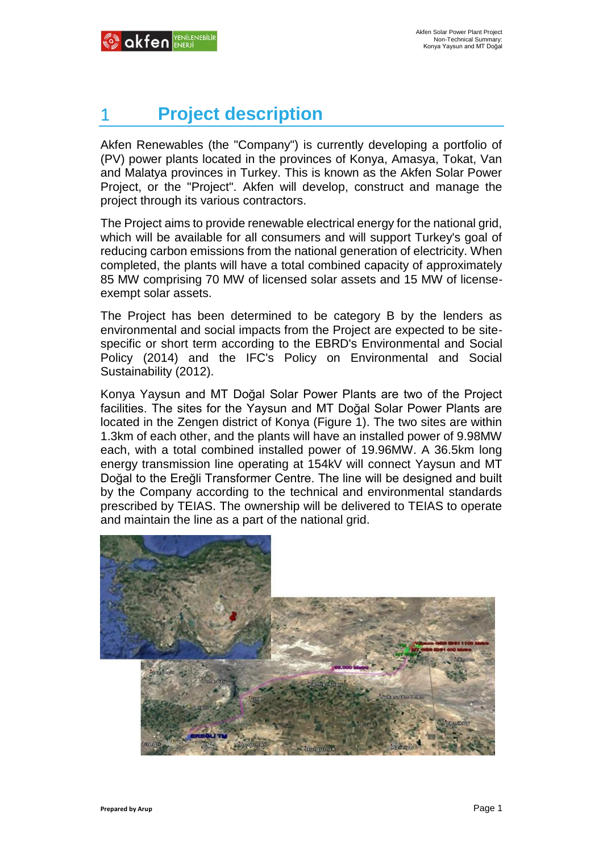# 1 **Project description**

Akfen Renewables (the "Company") is currently developing a portfolio of (PV) power plants located in the provinces of Konya, Amasya, Tokat, Van and Malatya provinces in Turkey. This is known as the Akfen Solar Power Project, or the "Project". Akfen will develop, construct and manage the project through its various contractors.

The Project aims to provide renewable electrical energy for the national grid, which will be available for all consumers and will support Turkey's goal of reducing carbon emissions from the national generation of electricity. When completed, the plants will have a total combined capacity of approximately 85 MW comprising 70 MW of licensed solar assets and 15 MW of licenseexempt solar assets.

The Project has been determined to be category B by the lenders as environmental and social impacts from the Project are expected to be sitespecific or short term according to the EBRD's Environmental and Social Policy (2014) and the IFC's Policy on Environmental and Social Sustainability (2012).

Konya Yaysun and MT Doğal Solar Power Plants are two of the Project facilities. The sites for the Yaysun and MT Doğal Solar Power Plants are located in the Zengen district of Konya (Figure 1). The two sites are within 1.3km of each other, and the plants will have an installed power of 9.98MW each, with a total combined installed power of 19.96MW. A 36.5km long energy transmission line operating at 154kV will connect Yaysun and MT Doğal to the Ereğli Transformer Centre. The line will be designed and built by the Company according to the technical and environmental standards prescribed by TEIAS. The ownership will be delivered to TEIAS to operate and maintain the line as a part of the national grid.

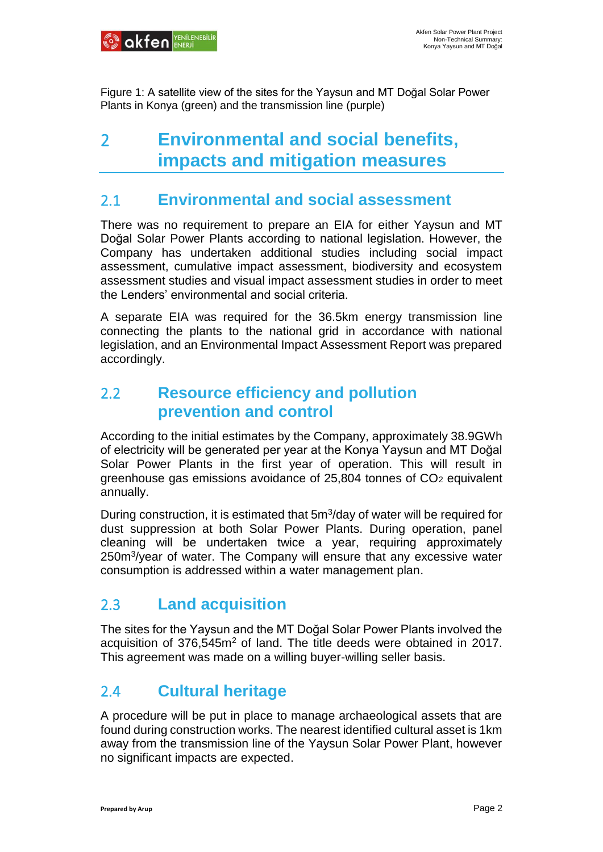

Figure 1: A satellite view of the sites for the Yaysun and MT Doğal Solar Power Plants in Konya (green) and the transmission line (purple)

## 2 **Environmental and social benefits, impacts and mitigation measures**

#### 2.1 **Environmental and social assessment**

There was no requirement to prepare an EIA for either Yaysun and MT Doğal Solar Power Plants according to national legislation. However, the Company has undertaken additional studies including social impact assessment, cumulative impact assessment, biodiversity and ecosystem assessment studies and visual impact assessment studies in order to meet the Lenders' environmental and social criteria.

A separate EIA was required for the 36.5km energy transmission line connecting the plants to the national grid in accordance with national legislation, and an Environmental Impact Assessment Report was prepared accordingly.

#### 2.2 **Resource efficiency and pollution prevention and control**

According to the initial estimates by the Company, approximately 38.9GWh of electricity will be generated per year at the Konya Yaysun and MT Doğal Solar Power Plants in the first year of operation. This will result in greenhouse gas emissions avoidance of  $25,804$  tonnes of  $CO<sub>2</sub>$  equivalent annually.

During construction, it is estimated that 5m<sup>3</sup>/day of water will be required for dust suppression at both Solar Power Plants. During operation, panel cleaning will be undertaken twice a year, requiring approximately 250m<sup>3</sup>/year of water. The Company will ensure that any excessive water consumption is addressed within a water management plan.

#### 2.3 **Land acquisition**

The sites for the Yaysun and the MT Doğal Solar Power Plants involved the acquisition of 376,545m<sup>2</sup> of land. The title deeds were obtained in 2017. This agreement was made on a willing buyer-willing seller basis.

#### 2.4 **Cultural heritage**

A procedure will be put in place to manage archaeological assets that are found during construction works. The nearest identified cultural asset is 1km away from the transmission line of the Yaysun Solar Power Plant, however no significant impacts are expected.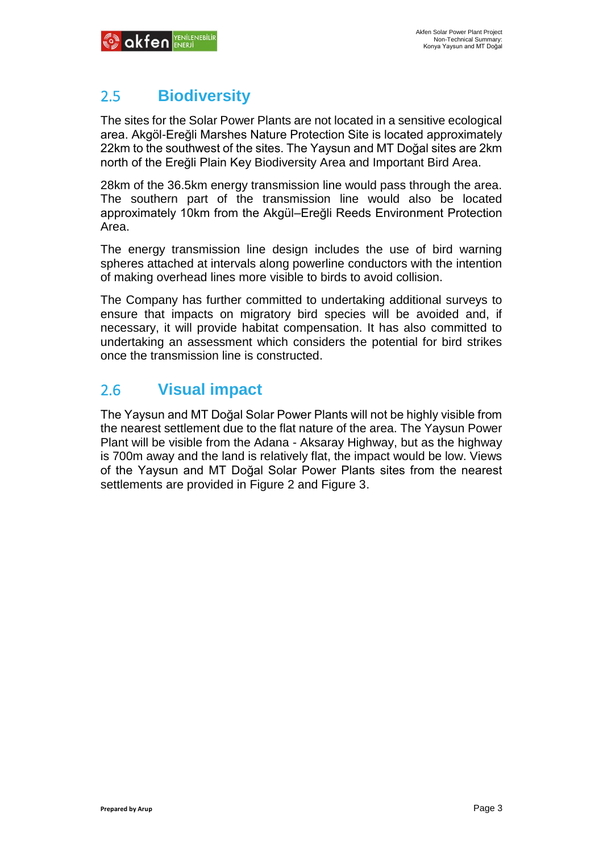### 2.5 **Biodiversity**

The sites for the Solar Power Plants are not located in a sensitive ecological area. Akgöl-Ereğli Marshes Nature Protection Site is located approximately 22km to the southwest of the sites. The Yaysun and MT Doğal sites are 2km north of the Ereğli Plain Key Biodiversity Area and Important Bird Area.

28km of the 36.5km energy transmission line would pass through the area. The southern part of the transmission line would also be located approximately 10km from the Akgül–Ereğli Reeds Environment Protection Area.

The energy transmission line design includes the use of bird warning spheres attached at intervals along powerline conductors with the intention of making overhead lines more visible to birds to avoid collision.

The Company has further committed to undertaking additional surveys to ensure that impacts on migratory bird species will be avoided and, if necessary, it will provide habitat compensation. It has also committed to undertaking an assessment which considers the potential for bird strikes once the transmission line is constructed.

### 2.6 **Visual impact**

The Yaysun and MT Doğal Solar Power Plants will not be highly visible from the nearest settlement due to the flat nature of the area. The Yaysun Power Plant will be visible from the Adana - Aksaray Highway, but as the highway is 700m away and the land is relatively flat, the impact would be low. Views of the Yaysun and MT Doğal Solar Power Plants sites from the nearest settlements are provided in Figure 2 and Figure 3.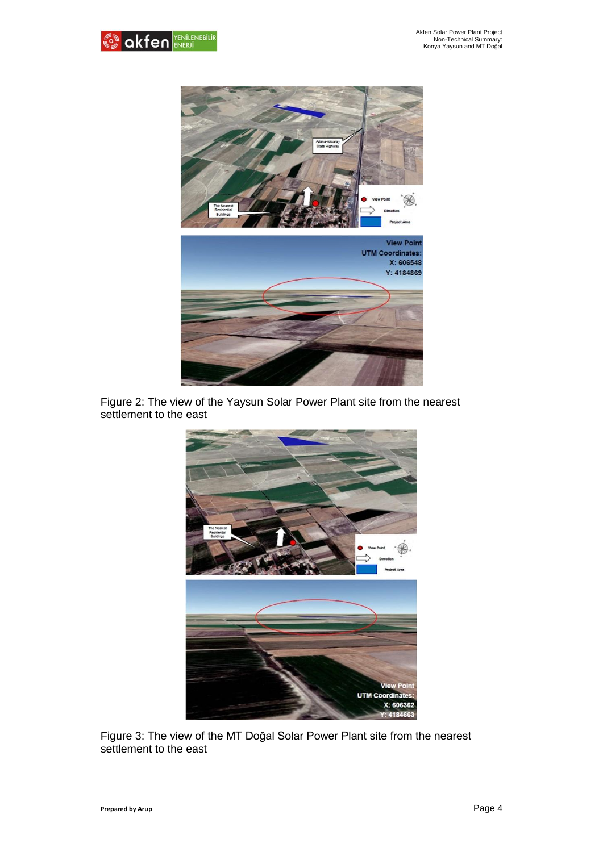



Figure 2: The view of the Yaysun Solar Power Plant site from the nearest settlement to the east



Figure 3: The view of the MT Doğal Solar Power Plant site from the nearest settlement to the east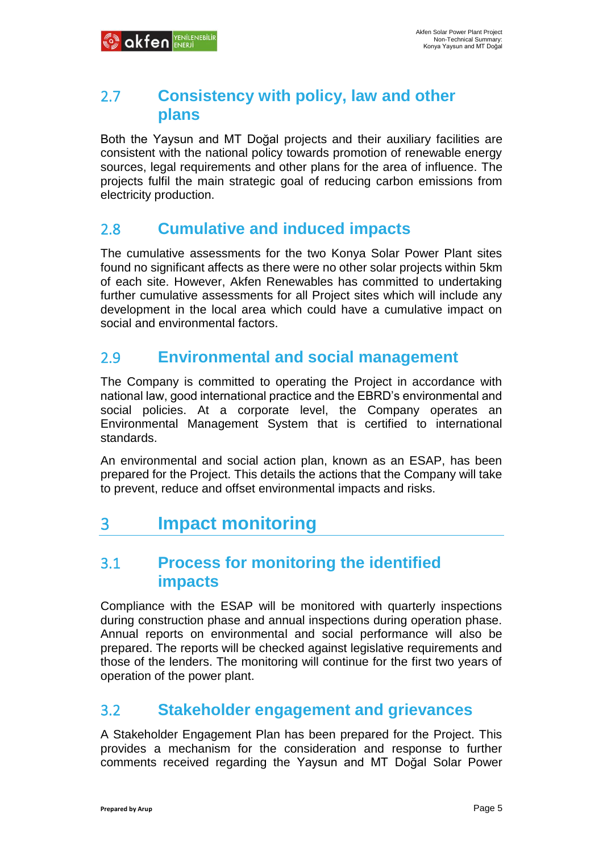#### 2.7 **Consistency with policy, law and other plans**

Both the Yaysun and MT Doğal projects and their auxiliary facilities are consistent with the national policy towards promotion of renewable energy sources, legal requirements and other plans for the area of influence. The projects fulfil the main strategic goal of reducing carbon emissions from electricity production.

#### 2.8 **Cumulative and induced impacts**

The cumulative assessments for the two Konya Solar Power Plant sites found no significant affects as there were no other solar projects within 5km of each site. However, Akfen Renewables has committed to undertaking further cumulative assessments for all Project sites which will include any development in the local area which could have a cumulative impact on social and environmental factors.

#### 2.9 **Environmental and social management**

The Company is committed to operating the Project in accordance with national law, good international practice and the EBRD's environmental and social policies. At a corporate level, the Company operates an Environmental Management System that is certified to international standards.

An environmental and social action plan, known as an ESAP, has been prepared for the Project. This details the actions that the Company will take to prevent, reduce and offset environmental impacts and risks.

## 3 **Impact monitoring**

#### 3.1 **Process for monitoring the identified impacts**

Compliance with the ESAP will be monitored with quarterly inspections during construction phase and annual inspections during operation phase. Annual reports on environmental and social performance will also be prepared. The reports will be checked against legislative requirements and those of the lenders. The monitoring will continue for the first two years of operation of the power plant.

#### 3.2 **Stakeholder engagement and grievances**

A Stakeholder Engagement Plan has been prepared for the Project. This provides a mechanism for the consideration and response to further comments received regarding the Yaysun and MT Doğal Solar Power